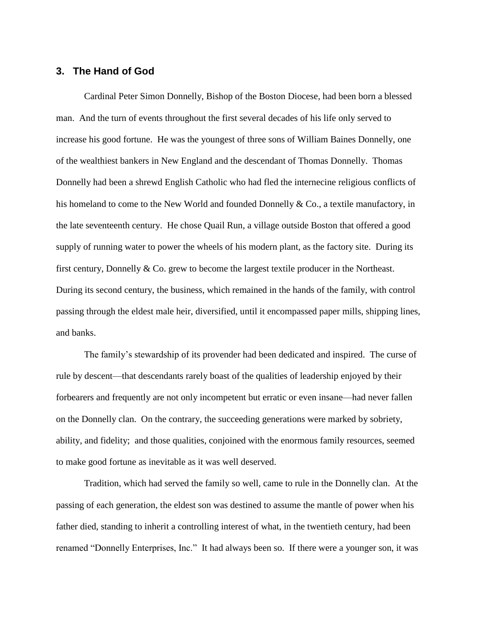## **3. The Hand of God**

Cardinal Peter Simon Donnelly, Bishop of the Boston Diocese, had been born a blessed man. And the turn of events throughout the first several decades of his life only served to increase his good fortune. He was the youngest of three sons of William Baines Donnelly, one of the wealthiest bankers in New England and the descendant of Thomas Donnelly. Thomas Donnelly had been a shrewd English Catholic who had fled the internecine religious conflicts of his homeland to come to the New World and founded Donnelly & Co., a textile manufactory, in the late seventeenth century. He chose Quail Run, a village outside Boston that offered a good supply of running water to power the wheels of his modern plant, as the factory site. During its first century, Donnelly & Co. grew to become the largest textile producer in the Northeast. During its second century, the business, which remained in the hands of the family, with control passing through the eldest male heir, diversified, until it encompassed paper mills, shipping lines, and banks.

The family's stewardship of its provender had been dedicated and inspired. The curse of rule by descent—that descendants rarely boast of the qualities of leadership enjoyed by their forbearers and frequently are not only incompetent but erratic or even insane—had never fallen on the Donnelly clan. On the contrary, the succeeding generations were marked by sobriety, ability, and fidelity; and those qualities, conjoined with the enormous family resources, seemed to make good fortune as inevitable as it was well deserved.

Tradition, which had served the family so well, came to rule in the Donnelly clan. At the passing of each generation, the eldest son was destined to assume the mantle of power when his father died, standing to inherit a controlling interest of what, in the twentieth century, had been renamed "Donnelly Enterprises, Inc." It had always been so. If there were a younger son, it was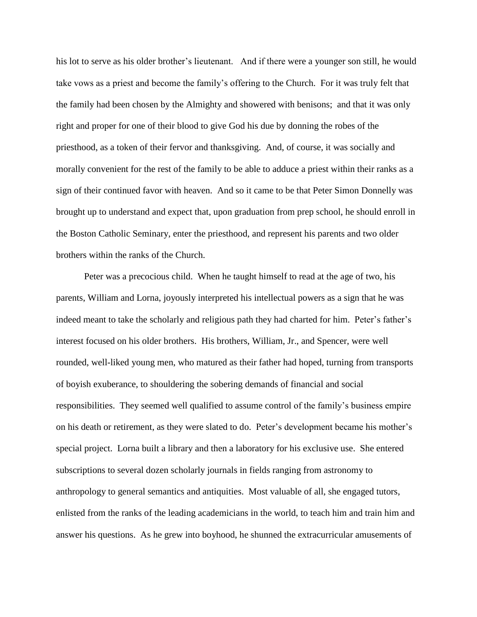his lot to serve as his older brother's lieutenant. And if there were a younger son still, he would take vows as a priest and become the family's offering to the Church. For it was truly felt that the family had been chosen by the Almighty and showered with benisons; and that it was only right and proper for one of their blood to give God his due by donning the robes of the priesthood, as a token of their fervor and thanksgiving. And, of course, it was socially and morally convenient for the rest of the family to be able to adduce a priest within their ranks as a sign of their continued favor with heaven. And so it came to be that Peter Simon Donnelly was brought up to understand and expect that, upon graduation from prep school, he should enroll in the Boston Catholic Seminary, enter the priesthood, and represent his parents and two older brothers within the ranks of the Church.

Peter was a precocious child. When he taught himself to read at the age of two, his parents, William and Lorna, joyously interpreted his intellectual powers as a sign that he was indeed meant to take the scholarly and religious path they had charted for him. Peter's father's interest focused on his older brothers. His brothers, William, Jr., and Spencer, were well rounded, well-liked young men, who matured as their father had hoped, turning from transports of boyish exuberance, to shouldering the sobering demands of financial and social responsibilities. They seemed well qualified to assume control of the family's business empire on his death or retirement, as they were slated to do. Peter's development became his mother's special project. Lorna built a library and then a laboratory for his exclusive use. She entered subscriptions to several dozen scholarly journals in fields ranging from astronomy to anthropology to general semantics and antiquities. Most valuable of all, she engaged tutors, enlisted from the ranks of the leading academicians in the world, to teach him and train him and answer his questions. As he grew into boyhood, he shunned the extracurricular amusements of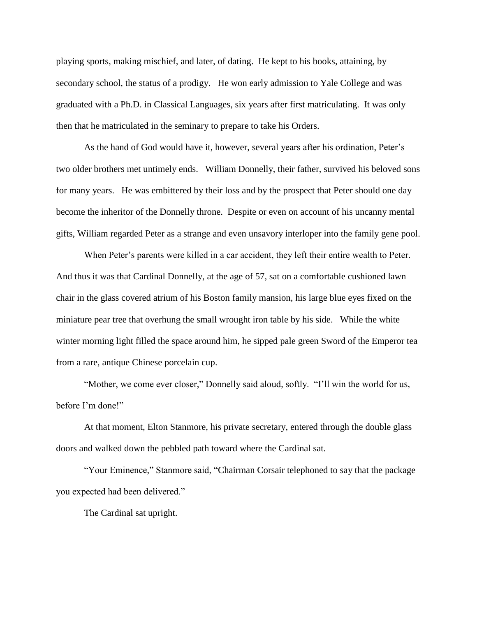playing sports, making mischief, and later, of dating. He kept to his books, attaining, by secondary school, the status of a prodigy. He won early admission to Yale College and was graduated with a Ph.D. in Classical Languages, six years after first matriculating. It was only then that he matriculated in the seminary to prepare to take his Orders.

As the hand of God would have it, however, several years after his ordination, Peter's two older brothers met untimely ends. William Donnelly, their father, survived his beloved sons for many years. He was embittered by their loss and by the prospect that Peter should one day become the inheritor of the Donnelly throne. Despite or even on account of his uncanny mental gifts, William regarded Peter as a strange and even unsavory interloper into the family gene pool.

When Peter's parents were killed in a car accident, they left their entire wealth to Peter. And thus it was that Cardinal Donnelly, at the age of 57, sat on a comfortable cushioned lawn chair in the glass covered atrium of his Boston family mansion, his large blue eyes fixed on the miniature pear tree that overhung the small wrought iron table by his side. While the white winter morning light filled the space around him, he sipped pale green Sword of the Emperor tea from a rare, antique Chinese porcelain cup.

"Mother, we come ever closer," Donnelly said aloud, softly. "I'll win the world for us, before I'm done!"

At that moment, Elton Stanmore, his private secretary, entered through the double glass doors and walked down the pebbled path toward where the Cardinal sat.

"Your Eminence," Stanmore said, "Chairman Corsair telephoned to say that the package you expected had been delivered."

The Cardinal sat upright.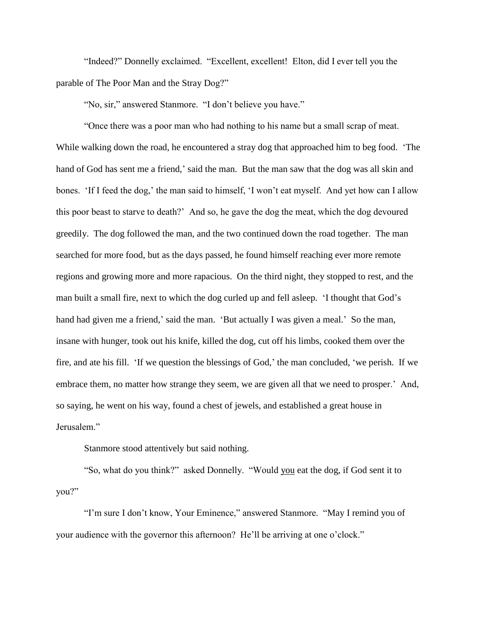"Indeed?" Donnelly exclaimed. "Excellent, excellent! Elton, did I ever tell you the parable of The Poor Man and the Stray Dog?"

"No, sir," answered Stanmore. "I don't believe you have."

"Once there was a poor man who had nothing to his name but a small scrap of meat. While walking down the road, he encountered a stray dog that approached him to beg food. 'The hand of God has sent me a friend,' said the man. But the man saw that the dog was all skin and bones. 'If I feed the dog,' the man said to himself, 'I won't eat myself. And yet how can I allow this poor beast to starve to death?' And so, he gave the dog the meat, which the dog devoured greedily. The dog followed the man, and the two continued down the road together. The man searched for more food, but as the days passed, he found himself reaching ever more remote regions and growing more and more rapacious. On the third night, they stopped to rest, and the man built a small fire, next to which the dog curled up and fell asleep. 'I thought that God's hand had given me a friend,' said the man. 'But actually I was given a meal.' So the man, insane with hunger, took out his knife, killed the dog, cut off his limbs, cooked them over the fire, and ate his fill. 'If we question the blessings of God,' the man concluded, 'we perish. If we embrace them, no matter how strange they seem, we are given all that we need to prosper.' And, so saying, he went on his way, found a chest of jewels, and established a great house in Jerusalem."

Stanmore stood attentively but said nothing.

"So, what do you think?" asked Donnelly. "Would you eat the dog, if God sent it to you?"

"I'm sure I don't know, Your Eminence," answered Stanmore. "May I remind you of your audience with the governor this afternoon? He'll be arriving at one o'clock."